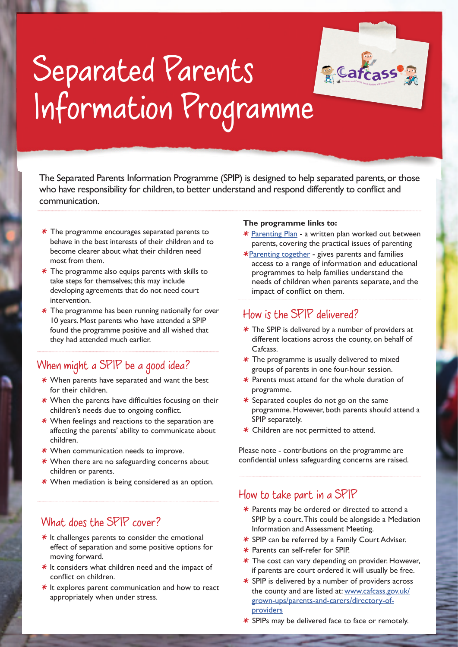

# Separated Parents Information Programme

The Separated Parents Information Programme (SPIP) is designed to help separated parents, or those who have responsibility for children, to better understand and respond differently to conflict and communication.

- $*$  The programme encourages separated parents to behave in the best interests of their children and to become clearer about what their children need most from them.
- $*$  The programme also equips parents with skills to take steps for themselves; this may include developing agreements that do not need court intervention.
- $*$  The programme has been running nationally for over 10 years. Most parents who have attended a SPIP found the programme positive and all wished that they had attended much earlier.

### When might a SPIP be a good idea?

- $*$  When parents have separated and want the best for their children.
- $*$  When the parents have difficulties focusing on their children's needs due to ongoing conflict.
- $*$  When feelings and reactions to the separation are affecting the parents' ability to communicate about children.
- $*$  When communication needs to improve.
- $*$  When there are no safeguarding concerns about children or parents.
- $*$  When mediation is being considered as an option.

#### What does the SPIP cover?

- $*$  It challenges parents to consider the emotional effect of separation and some positive options for moving forward.
- $*$  It considers what children need and the impact of conflict on children.
- $*$  It explores parent communication and how to react appropriately when under stress.

#### **The programme links to:**

- \* Parenting Plan a written plan worked out between parents, covering the practical issues of parenting
- \*Parenting together gives parents and families access to a range of information and educational programmes to help families understand the needs of children when parents separate, and the impact of conflict on them.

#### How is the SPIP delivered?

- $*$  The SPIP is delivered by a number of providers at different locations across the county, on behalf of Cafcass.
- $*$  The programme is usually delivered to mixed groups of parents in one four-hour session.
- $*$  Parents must attend for the whole duration of programme.
- $*$  Separated couples do not go on the same programme. However, both parents should attend a SPIP separately.
- $*$  Children are not permitted to attend.

Please note - contributions on the programme are confidential unless safeguarding concerns are raised.

#### How to take part in a SPIP

- $*$  Parents may be ordered or directed to attend a SPIP by a court. This could be alongside a Mediation Information and Assessment Meeting.
- \* SPIP can be referred by a Family Court Adviser.
- \* Parents can self-refer for SPIP.
- $*$  The cost can vary depending on provider. However, if parents are court ordered it will usually be free.
- $*$  SPIP is delivered by a number of providers across the county and are listed at: www.cafcass.gov.uk/ grown-ups/parents-and-carers/directory-of**providers**
- $*$  SPIPs may be delivered face to face or remotely.